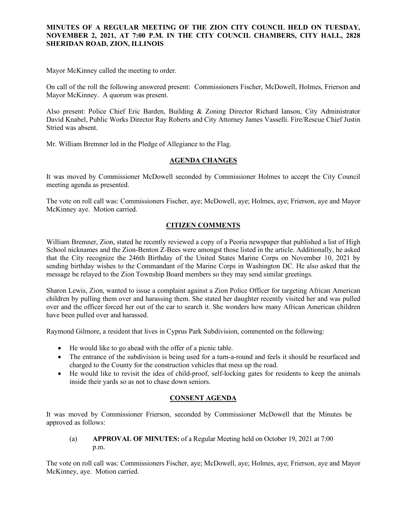### **MINUTES OF A REGULAR MEETING OF THE ZION CITY COUNCIL HELD ON TUESDAY, NOVEMBER 2, 2021, AT 7:00 P.M. IN THE CITY COUNCIL CHAMBERS, CITY HALL, 2828 SHERIDAN ROAD, ZION, ILLINOIS**

#### ------------------------------------

Mayor McKinney called the meeting to order.

On call of the roll the following answered present: Commissioners Fischer, McDowell, Holmes, Frierson and Mayor McKinney. A quorum was present.

Also present: Police Chief Eric Barden, Building & Zoning Director Richard Ianson, City Administrator David Knabel, Public Works Director Ray Roberts and City Attorney James Vasselli. Fire/Rescue Chief Justin Stried was absent.

Mr. William Bremner led in the Pledge of Allegiance to the Flag.

### **AGENDA CHANGES**

It was moved by Commissioner McDowell seconded by Commissioner Holmes to accept the City Council meeting agenda as presented.

The vote on roll call was: Commissioners Fischer, aye; McDowell, aye; Holmes, aye; Frierson, aye and Mayor McKinney aye. Motion carried.

# **CITIZEN COMMENTS**

William Bremner, Zion, stated he recently reviewed a copy of a Peoria newspaper that published a list of High School nicknames and the Zion-Benton Z-Bees were amongst those listed in the article. Additionally, he asked that the City recognize the 246th Birthday of the United States Marine Corps on November 10, 2021 by sending birthday wishes to the Commandant of the Marine Corps in Washington DC. He also asked that the message be relayed to the Zion Township Board members so they may send similar greetings.

Sharon Lewis, Zion, wanted to issue a complaint against a Zion Police Officer for targeting African American children by pulling them over and harassing them. She stated her daughter recently visited her and was pulled over and the officer forced her out of the car to search it. She wonders how many African American children have been pulled over and harassed.

Raymond Gilmore, a resident that lives in Cyprus Park Subdivision, commented on the following:

- He would like to go ahead with the offer of a picnic table.
- The entrance of the subdivision is being used for a turn-a-round and feels it should be resurfaced and charged to the County for the construction vehicles that mess up the road.
- He would like to revisit the idea of child-proof, self-locking gates for residents to keep the animals inside their yards so as not to chase down seniors.

### **CONSENT AGENDA**

It was moved by Commissioner Frierson, seconded by Commissioner McDowell that the Minutes be approved as follows:

(a) **APPROVAL OF MINUTES:** of a Regular Meeting held on October 19, 2021 at 7:00 p.m.

The vote on roll call was: Commissioners Fischer, aye; McDowell, aye; Holmes, aye; Frierson, aye and Mayor McKinney, aye. Motion carried.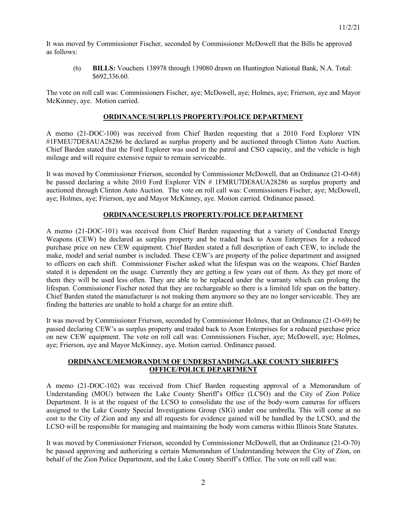It was moved by Commissioner Fischer, seconded by Commissioner McDowell that the Bills be approved as follows:

(b) **BILLS:** Vouchers 138978 through 139080 drawn on Huntington National Bank, N.A. Total: \$692,336.60.

The vote on roll call was: Commissioners Fischer, aye; McDowell, aye; Holmes, aye; Frierson, aye and Mayor McKinney, aye. Motion carried.

### **ORDINANCE/SURPLUS PROPERTY/POLICE DEPARTMENT**

A memo (21-DOC-100) was received from Chief Barden requesting that a 2010 Ford Explorer VIN #1FMEU7DE8AUA28286 be declared as surplus property and be auctioned through Clinton Auto Auction. Chief Barden stated that the Ford Explorer was used in the patrol and CSO capacity, and the vehicle is high mileage and will require extensive repair to remain serviceable.

It was moved by Commissioner Frierson, seconded by Commissioner McDowell, that an Ordinance (21-O-68) be passed declaring a white 2010 Ford Explorer VIN # 1FMRU7DE8AUA28286 as surplus property and auctioned through Clinton Auto Auction. The vote on roll call was: Commissioners Fischer, aye; McDowell, aye; Holmes, aye; Frierson, aye and Mayor McKinney, aye. Motion carried. Ordinance passed.

## **ORDINANCE/SURPLUS PROPERTY/POLICE DEPARTMENT**

A memo (21-DOC-101) was received from Chief Barden requesting that a variety of Conducted Energy Weapons (CEW) be declared as surplus property and be traded back to Axon Enterprises for a reduced purchase price on new CEW equipment. Chief Barden stated a full description of each CEW, to include the make, model and serial number is included. These CEW's are property of the police department and assigned to officers on each shift. Commissioner Fischer asked what the lifespan was on the weapons. Chief Barden stated it is dependent on the usage. Currently they are getting a few years out of them. As they get more of them they will be used less often. They are able to be replaced under the warranty which can prolong the lifespan. Commissioner Fischer noted that they are rechargeable so there is a limited life span on the battery. Chief Barden stated the manufacturer is not making them anymore so they are no longer serviceable. They are finding the batteries are unable to hold a charge for an entire shift.

It was moved by Commissioner Frierson, seconded by Commissioner Holmes, that an Ordinance (21-O-69) be passed declaring CEW's as surplus property and traded back to Axon Enterprises for a reduced purchase price on new CEW equipment. The vote on roll call was: Commissioners Fischer, aye; McDowell, aye; Holmes, aye; Frierson, aye and Mayor McKinney, aye. Motion carried. Ordinance passed.

## **ORDINANCE/MEMORANDUM OF UNDERSTANDING/LAKE COUNTY SHERIFF'S OFFICE/POLICE DEPARTMENT**

A memo (21-DOC-102) was received from Chief Barden requesting approval of a Memorandum of Understanding (MOU) between the Lake County Sheriff's Office (LCSO) and the City of Zion Police Department. It is at the request of the LCSO to consolidate the use of the body-worn cameras for officers assigned to the Lake County Special Investigations Group (SIG) under one umbrella. This will come at no cost to the City of Zion and any and all requests for evidence gained will be handled by the LCSO, and the LCSO will be responsible for managing and maintaining the body worn cameras within Illinois State Statutes.

It was moved by Commissioner Frierson, seconded by Commissioner McDowell, that an Ordinance (21-O-70) be passed approving and authorizing a certain Memorandum of Understanding between the City of Zion, on behalf of the Zion Police Department, and the Lake County Sheriff's Office. The vote on roll call was: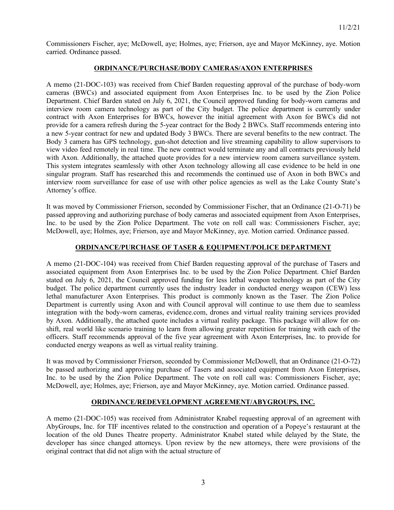Commissioners Fischer, aye; McDowell, aye; Holmes, aye; Frierson, aye and Mayor McKinney, aye. Motion carried. Ordinance passed.

#### **ORDINANCE/PURCHASE/BODY CAMERAS/AXON ENTERPRISES**

A memo (21-DOC-103) was received from Chief Barden requesting approval of the purchase of body-worn cameras (BWCs) and associated equipment from Axon Enterprises Inc. to be used by the Zion Police Department. Chief Barden stated on July 6, 2021, the Council approved funding for body-worn cameras and interview room camera technology as part of the City budget. The police department is currently under contract with Axon Enterprises for BWCs, however the initial agreement with Axon for BWCs did not provide for a camera refresh during the 5-year contract for the Body 2 BWCs. Staff recommends entering into a new 5-year contract for new and updated Body 3 BWCs. There are several benefits to the new contract. The Body 3 camera has GPS technology, gun-shot detection and live streaming capability to allow supervisors to view video feed remotely in real time. The new contract would terminate any and all contracts previously held with Axon. Additionally, the attached quote provides for a new interview room camera surveillance system. This system integrates seamlessly with other Axon technology allowing all case evidence to be held in one singular program. Staff has researched this and recommends the continued use of Axon in both BWCs and interview room surveillance for ease of use with other police agencies as well as the Lake County State's Attorney's office.

It was moved by Commissioner Frierson, seconded by Commissioner Fischer, that an Ordinance (21-O-71) be passed approving and authorizing purchase of body cameras and associated equipment from Axon Enterprises, Inc. to be used by the Zion Police Department. The vote on roll call was: Commissioners Fischer, aye; McDowell, aye; Holmes, aye; Frierson, aye and Mayor McKinney, aye. Motion carried. Ordinance passed.

## **ORDINANCE/PURCHASE OF TASER & EQUIPMENT/POLICE DEPARTMENT**

A memo (21-DOC-104) was received from Chief Barden requesting approval of the purchase of Tasers and associated equipment from Axon Enterprises Inc. to be used by the Zion Police Department. Chief Barden stated on July 6, 2021, the Council approved funding for less lethal weapon technology as part of the City budget. The police department currently uses the industry leader in conducted energy weapon (CEW) less lethal manufacturer Axon Enterprises. This product is commonly known as the Taser. The Zion Police Department is currently using Axon and with Council approval will continue to use them due to seamless integration with the body-worn cameras, evidence.com, drones and virtual reality training services provided by Axon. Additionally, the attached quote includes a virtual reality package. This package will allow for onshift, real world like scenario training to learn from allowing greater repetition for training with each of the officers. Staff recommends approval of the five year agreement with Axon Enterprises, Inc. to provide for conducted energy weapons as well as virtual reality training.

It was moved by Commissioner Frierson, seconded by Commissioner McDowell, that an Ordinance (21-O-72) be passed authorizing and approving purchase of Tasers and associated equipment from Axon Enterprises, Inc. to be used by the Zion Police Department. The vote on roll call was: Commissioners Fischer, aye; McDowell, aye; Holmes, aye; Frierson, aye and Mayor McKinney, aye. Motion carried. Ordinance passed.

# **ORDINANCE/REDEVELOPMENT AGREEMENT/ABYGROUPS, INC.**

A memo (21-DOC-105) was received from Administrator Knabel requesting approval of an agreement with AbyGroups, Inc. for TIF incentives related to the construction and operation of a Popeye's restaurant at the location of the old Dunes Theatre property. Administrator Knabel stated while delayed by the State, the developer has since changed attorneys. Upon review by the new attorneys, there were provisions of the original contract that did not align with the actual structure of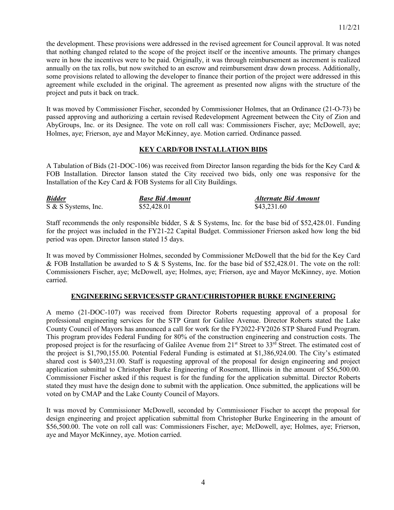the development. These provisions were addressed in the revised agreement for Council approval. It was noted that nothing changed related to the scope of the project itself or the incentive amounts. The primary changes were in how the incentives were to be paid. Originally, it was through reimbursement as increment is realized annually on the tax rolls, but now switched to an escrow and reimbursement draw down process. Additionally, some provisions related to allowing the developer to finance their portion of the project were addressed in this agreement while excluded in the original. The agreement as presented now aligns with the structure of the project and puts it back on track.

It was moved by Commissioner Fischer, seconded by Commissioner Holmes, that an Ordinance (21-O-73) be passed approving and authorizing a certain revised Redevelopment Agreement between the City of Zion and AbyGroups, Inc. or its Designee. The vote on roll call was: Commissioners Fischer, aye; McDowell, aye; Holmes, aye; Frierson, aye and Mayor McKinney, aye. Motion carried. Ordinance passed.

### **KEY CARD/FOB INSTALLATION BIDS**

A Tabulation of Bids (21-DOC-106) was received from Director Ianson regarding the bids for the Key Card & FOB Installation. Director Ianson stated the City received two bids, only one was responsive for the Installation of the Key Card & FOB Systems for all City Buildings.

| <b>Bidder</b>       | <b>Base Bid Amount</b> | Alternate Bid Amount |
|---------------------|------------------------|----------------------|
| S & S Systems, Inc. | \$52,428.01            | \$43,231.60          |

Staff recommends the only responsible bidder, S & S Systems, Inc. for the base bid of \$52,428.01. Funding for the project was included in the FY21-22 Capital Budget. Commissioner Frierson asked how long the bid period was open. Director Ianson stated 15 days.

It was moved by Commissioner Holmes, seconded by Commissioner McDowell that the bid for the Key Card & FOB Installation be awarded to S & S Systems, Inc. for the base bid of \$52,428.01. The vote on the roll: Commissioners Fischer, aye; McDowell, aye; Holmes, aye; Frierson, aye and Mayor McKinney, aye. Motion carried.

### **ENGINEERING SERVICES/STP GRANT/CHRISTOPHER BURKE ENGINEERING**

A memo (21-DOC-107) was received from Director Roberts requesting approval of a proposal for professional engineering services for the STP Grant for Galilee Avenue. Director Roberts stated the Lake County Council of Mayors has announced a call for work for the FY2022-FY2026 STP Shared Fund Program. This program provides Federal Funding for 80% of the construction engineering and construction costs. The proposed project is for the resurfacing of Galilee Avenue from  $21<sup>st</sup>$  Street to  $33<sup>rd</sup>$  Street. The estimated cost of the project is \$1,790,155.00. Potential Federal Funding is estimated at \$1,386,924.00. The City's estimated shared cost is \$403,231.00. Staff is requesting approval of the proposal for design engineering and project application submittal to Christopher Burke Engineering of Rosemont, Illinois in the amount of \$56,500.00. Commissioner Fischer asked if this request is for the funding for the application submittal. Director Roberts stated they must have the design done to submit with the application. Once submitted, the applications will be voted on by CMAP and the Lake County Council of Mayors.

It was moved by Commissioner McDowell, seconded by Commissioner Fischer to accept the proposal for design engineering and project application submittal from Christopher Burke Engineering in the amount of \$56,500.00. The vote on roll call was: Commissioners Fischer, aye; McDowell, aye; Holmes, aye; Frierson, aye and Mayor McKinney, aye. Motion carried.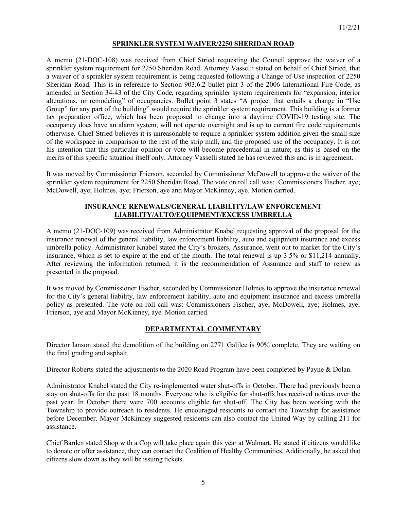### **SPRINKLER SYSTEM WAIVER/2250 SHERIDAN ROAD**

A memo (21-DOC-108) was received from Chief Stried requesting the Council approve the waiver of a sprinkler system requirement for 2250 Sheridan Road. Attorney Vasselli stated on behalf of Chief Stried, that a waiver of a sprinkler system requirement is being requested following a Change of Use inspection of 2250 Sheridan Road. This is in reference to Section 903.6.2 bullet pint 3 of the 2006 International Fire Code, as amended in Section 34-43 of the City Code, regarding sprinkler system requirements for "expansion, interior alterations, or remodeling" of occupancies. Bullet point 3 states "A project that entails a change in "Use Group" for any part of the building" would require the sprinkler system requirement. This building is a former tax preparation office, which has been proposed to change into a daytime COVID-19 testing site. The occupancy does have an alarm system, will not operate overnight and is up to current fire code requirements otherwise. Chief Stried believes it is unreasonable to require a sprinkler system addition given the small size of the workspace in comparison to the rest of the strip mall, and the proposed use of the occupancy. It is not his intention that this particular opinion or vote will become precedential in nature; as this is based on the merits of this specific situation itself only. Attorney Vasselli stated he has reviewed this and is in agreement.

It was moved by Commissioner Frierson, seconded by Commissioner McDowell to approve the waiver of the sprinkler system requirement for 2250 Sheridan Road. The vote on roll call was: Commissioners Fischer, aye; McDowell, aye; Holmes, aye; Frierson, aye and Mayor McKinney, aye. Motion carried.

### **INSURANCE RENEWALS/GENERAL LIABILITY/LAW ENFORCEMENT LIABILITY/AUTO/EQUIPMENT/EXCESS UMBRELLA**

A memo (21-DOC-109) was received from Administrator Knabel requesting approval of the proposal for the insurance renewal of the general liability, law enforcement liability, auto and equipment insurance and excess umbrella policy. Administrator Knabel stated the City's brokers, Assurance, went out to market for the City's insurance, which is set to expire at the end of the month. The total renewal is up 3.5% or \$11,214 annually. After reviewing the information returned, it is the recommendation of Assurance and staff to renew as presented in the proposal.

It was moved by Commissioner Fischer, seconded by Commissioner Holmes to approve the insurance renewal for the City's general liability, law enforcement liability, auto and equipment insurance and excess umbrella policy as presented. The vote on roll call was: Commissioners Fischer, aye; McDowell, aye; Holmes, aye; Frierson, aye and Mayor McKinney, aye. Motion carried.

## **DEPARTMENTAL COMMENTARY**

Director Ianson stated the demolition of the building on 2771 Galilee is 90% complete. They are waiting on the final grading and asphalt.

Director Roberts stated the adjustments to the 2020 Road Program have been completed by Payne & Dolan.

Administrator Knabel stated the City re-implemented water shut-offs in October. There had previously been a stay on shut-offs for the past 18 months. Everyone who is eligible for shut-offs has received notices over the past year. In October there were 700 accounts eligible for shut-off. The City has been working with the Township to provide outreach to residents. He encouraged residents to contact the Township for assistance before December. Mayor McKinney suggested residents can also contact the United Way by calling 211 for assistance.

Chief Barden stated Shop with a Cop will take place again this year at Walmart. He stated if citizens would like to donate or offer assistance, they can contact the Coalition of Healthy Communities. Additionally, he asked that citizens slow down as they will be issuing tickets.